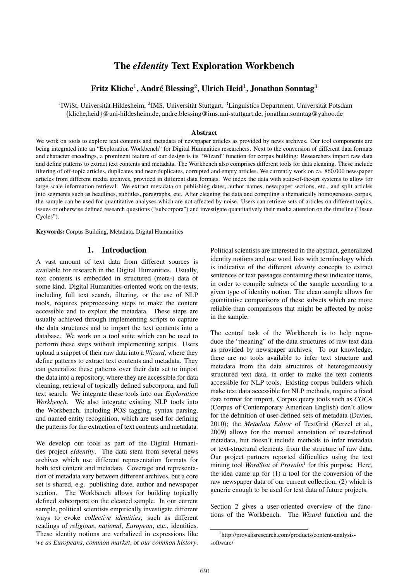# The *eIdentity* Text Exploration Workbench

## Fritz Kliche $^1$ , André Blessing $^2$ , Ulrich Heid $^1$ , Jonathan Sonntag $^3$

<sup>1</sup>IWiSt, Universität Hildesheim, <sup>2</sup>IMS, Universität Stuttgart, <sup>3</sup>Linguistics Department, Universität Potsdam {kliche,heid}@uni-hildesheim.de, andre.blessing@ims.uni-stuttgart.de, jonathan.sonntag@yahoo.de

#### Abstract

We work on tools to explore text contents and metadata of newspaper articles as provided by news archives. Our tool components are being integrated into an "Exploration Workbench" for Digital Humanities researchers. Next to the conversion of different data formats and character encodings, a prominent feature of our design is its "Wizard" function for corpus building: Researchers import raw data and define patterns to extract text contents and metadata. The Workbench also comprises different tools for data cleaning. These include filtering of off-topic articles, duplicates and near-duplicates, corrupted and empty articles. We currently work on ca. 860.000 newspaper articles from different media archives, provided in different data formats. We index the data with state-of-the-art systems to allow for large scale information retrieval. We extract metadata on publishing dates, author names, newspaper sections, etc., and split articles into segments such as headlines, subtitles, paragraphs, etc. After cleaning the data and compiling a thematically homogeneous corpus, the sample can be used for quantitative analyses which are not affected by noise. Users can retrieve sets of articles on different topics, issues or otherwise defined research questions ("subcorpora") and investigate quantitatively their media attention on the timeline ("Issue Cycles").

Keywords:Corpus Building, Metadata, Digital Humanities

#### 1. Introduction

A vast amount of text data from different sources is available for research in the Digital Humanities. Usually, text contents is embedded in structured (meta-) data of some kind. Digital Humanities-oriented work on the texts, including full text search, filtering, or the use of NLP tools, requires preprocessing steps to make the content accessible and to exploit the metadata. These steps are usually achieved through implementing scripts to capture the data structures and to import the text contents into a database. We work on a tool suite which can be used to perform these steps without implementing scripts. Users upload a snippet of their raw data into a *Wizard*, where they define patterns to extract text contents and metadata. They can generalize these patterns over their data set to import the data into a repository, where they are accessible for data cleaning, retrieval of topically defined subcorpora, and full text search. We integrate these tools into our *Exploration Workbench*. We also integrate existing NLP tools into the Workbench, including POS tagging, syntax parsing, and named entity recognition, which are used for defining the patterns for the extraction of text contents and metadata.

We develop our tools as part of the Digital Humanities project *eIdentity*. The data stem from several news archives which use different representation formats for both text content and metadata. Coverage and representation of metadata vary between different archives, but a core set is shared, e.g. publishing date, author and newspaper section. The Workbench allows for building topically defined subcorpora on the cleaned sample. In our current sample, political scientists empirically investigate different ways to evoke *collective identities*, such as different readings of *religious*, *national*, *European*, etc., identities. These identity notions are verbalized in expressions like *we as Europeans*, *common market*, or *our common history*. Political scientists are interested in the abstract, generalized identity notions and use word lists with terminology which is indicative of the different *identity* concepts to extract sentences or text passages containing these indicator items, in order to compile subsets of the sample according to a given type of identity notion. The clean sample allows for quantitative comparisons of these subsets which are more reliable than comparisons that might be affected by noise in the sample.

The central task of the Workbench is to help reproduce the "meaning" of the data structures of raw text data as provided by newspaper archives. To our knowledge, there are no tools available to infer text structure and metadata from the data structures of heterogeneously structured text data, in order to make the text contents accessible for NLP tools. Existing corpus builders which make text data accessible for NLP methods, require a fixed data format for import. Corpus query tools such as *COCA* (Corpus of Contemporary American English) don't allow for the definition of user-defined sets of metadata (Davies, 2010); the *Metadata Editor* of TextGrid (Kerzel et al., 2009) allows for the manual annotation of user-defined metadata, but doesn't include methods to infer metadata or text-structural elements from the structure of raw data. Our project partners reported difficulties using the text mining tool *WordStat* of *Provalis*<sup>1</sup> for this purpose. Here, the idea came up for (1) a tool for the conversion of the raw newspaper data of our current collection, (2) which is generic enough to be used for text data of future projects.

Section 2 gives a user-oriented overview of the functions of the Workbench. The *Wizard* function and the

<sup>1</sup> http://provalisresearch.com/products/content-analysissoftware/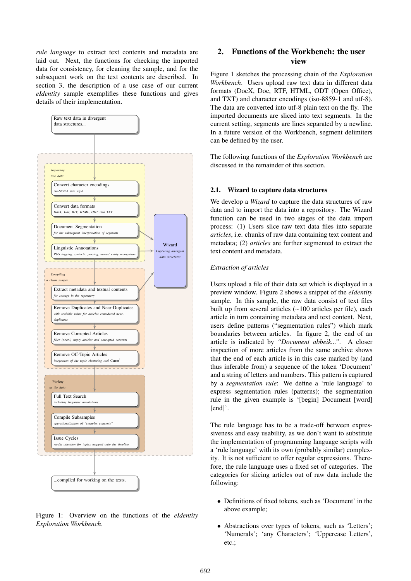*rule language* to extract text contents and metadata are laid out. Next, the functions for checking the imported data for consistency, for cleaning the sample, and for the subsequent work on the text contents are described. In section 3, the description of a use case of our current *eIdentity* sample exemplifies these functions and gives details of their implementation.



Figure 1: Overview on the functions of the *eIdentity Exploration Workbench*.

## 2. Functions of the Workbench: the user view

Figure 1 sketches the processing chain of the *Exploration Workbench*. Users upload raw text data in different data formats (DocX, Doc, RTF, HTML, ODT (Open Office), and TXT) and character encodings (iso-8859-1 and utf-8). The data are converted into utf-8 plain text on the fly. The imported documents are sliced into text segments. In the current setting, segments are lines separated by a newline. In a future version of the Workbench, segment delimiters can be defined by the user.

The following functions of the *Exploration Workbench* are discussed in the remainder of this section.

## 2.1. Wizard to capture data structures

We develop a *Wizard* to capture the data structures of raw data and to import the data into a repository. The Wizard function can be used in two stages of the data import process: (1) Users slice raw text data files into separate *articles*, i.e. chunks of raw data containing text content and metadata; (2) *articles* are further segmented to extract the text content and metadata.

#### *Extraction of articles*

Users upload a file of their data set which is displayed in a preview window. Figure 2 shows a snippet of the *eIdentity* sample. In this sample, the raw data consist of text files built up from several articles (∼100 articles per file), each article in turn containing metadata and text content. Next, users define patterns ("segmentation rules") which mark boundaries between articles. In figure 2, the end of an article is indicated by *"Document abbeik..."*. A closer inspection of more articles from the same archive shows that the end of each article is in this case marked by (and thus inferable from) a sequence of the token 'Document' and a string of letters and numbers. This pattern is captured by a *segmentation rule*: We define a 'rule language' to express segmentation rules (patterns); the segmentation rule in the given example is '[begin] Document [word] [end]'.

The rule language has to be a trade-off between expressiveness and easy usability, as we don't want to substitute the implementation of programming language scripts with a 'rule language' with its own (probably similar) complexity. It is not sufficient to offer regular expressions. Therefore, the rule language uses a fixed set of categories. The categories for slicing articles out of raw data include the following:

- Definitions of fixed tokens, such as 'Document' in the above example;
- Abstractions over types of tokens, such as 'Letters'; 'Numerals'; 'any Characters'; 'Uppercase Letters', etc.;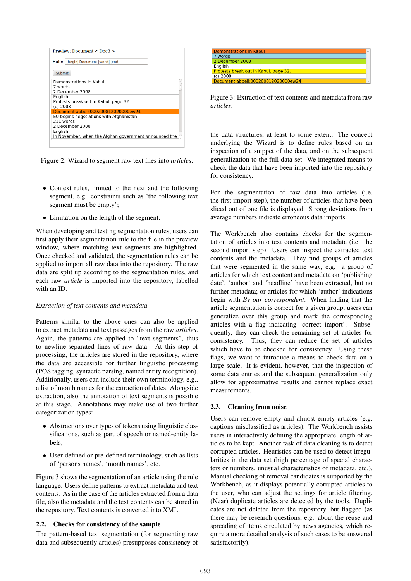| Preview: Document < Doc3 >                            |
|-------------------------------------------------------|
| Rule:   [begin] Document [word] [end]                 |
| Submit                                                |
| Demonstrations in Kabul                               |
| 7 words                                               |
| 2 December 2008                                       |
| English                                               |
| Protests break out in Kabul, page 32                  |
| $(c)$ 2008                                            |
| Document abbeik000200812020000ew24                    |
| EU begins negotiations with Afghanistan               |
| 211 words                                             |
| 2 December 2008                                       |
| English                                               |
| In November, when the Afghan government announced the |
|                                                       |

Figure 2: Wizard to segment raw text files into *articles*.

- Context rules, limited to the next and the following segment, e.g. constraints such as 'the following text segment must be empty';
- Limitation on the length of the segment.

When developing and testing segmentation rules, users can first apply their segmentation rule to the file in the preview window, where matching text segments are highlighted. Once checked and validated, the segmentation rules can be applied to import all raw data into the repository. The raw data are split up according to the segmentation rules, and each raw *article* is imported into the repository, labelled with an ID.

#### *Extraction of text contents and metadata*

Patterns similar to the above ones can also be applied to extract metadata and text passages from the raw *articles*. Again, the patterns are applied to "text segments", thus to newline-separated lines of raw data. At this step of processing, the articles are stored in the repository, where the data are accessible for further linguistic processing (POS tagging, syntactic parsing, named entity recognition). Additionally, users can include their own terminology, e.g., a list of month names for the extraction of dates. Alongside extraction, also the annotation of text segments is possible at this stage. Annotations may make use of two further categorization types:

- Abstractions over types of tokens using linguistic classifications, such as part of speech or named-entity labels;
- User-defined or pre-defined terminology, such as lists of 'persons names', 'month names', etc.

Figure 3 shows the segmentation of an article using the rule language. Users define patterns to extract metadata and text contents. As in the case of the articles extracted from a data file, also the metadata and the text contents can be stored in the repository. Text contents is converted into XML.

#### 2.2. Checks for consistency of the sample

The pattern-based text segmentation (for segmenting raw data and subsequently articles) presupposes consistency of

| Demonstrations in Kabul                      |  |
|----------------------------------------------|--|
| 7 words                                      |  |
| 2 December 2008                              |  |
| English                                      |  |
| <b>Protests break out in Kabul, page 32.</b> |  |
| (c) 2008                                     |  |
| Document abbeik000200812020000ew24           |  |

Figure 3: Extraction of text contents and metadata from raw *articles*.

the data structures, at least to some extent. The concept underlying the Wizard is to define rules based on an inspection of a snippet of the data, and on the subsequent generalization to the full data set. We integrated means to check the data that have been imported into the repository for consistency.

For the segmentation of raw data into articles (i.e. the first import step), the number of articles that have been sliced out of one file is displayed. Strong deviations from average numbers indicate erroneous data imports.

The Workbench also contains checks for the segmentation of articles into text contents and metadata (i.e. the second import step). Users can inspect the extracted text contents and the metadata. They find groups of articles that were segmented in the same way, e.g. a group of articles for which text content and metadata on 'publishing date', 'author' and 'headline' have been extracted, but no further metadata; or articles for which 'author' indications begin with *By our correspondent*. When finding that the article segmentation is correct for a given group, users can generalize over this group and mark the corresponding articles with a flag indicating 'correct import'. Subsequently, they can check the remaining set of articles for consistency. Thus, they can reduce the set of articles which have to be checked for consistency. Using these flags, we want to introduce a means to check data on a large scale. It is evident, however, that the inspection of some data entries and the subsequent generalization only allow for approximative results and cannot replace exact measurements.

#### 2.3. Cleaning from noise

Users can remove empty and almost empty articles (e.g. captions misclassified as articles). The Workbench assists users in interactively defining the appropriate length of articles to be kept. Another task of data cleaning is to detect corrupted articles. Heuristics can be used to detect irregularities in the data set (high percentage of special characters or numbers, unusual characteristics of metadata, etc.). Manual checking of removal candidates is supported by the Workbench, as it displays potentially corrupted articles to the user, who can adjust the settings for article filtering. (Near) duplicate articles are detected by the tools. Duplicates are not deleted from the repository, but flagged (as there may be research questions, e.g. about the reuse and spreading of items circulated by news agencies, which require a more detailed analysis of such cases to be answered satisfactorily).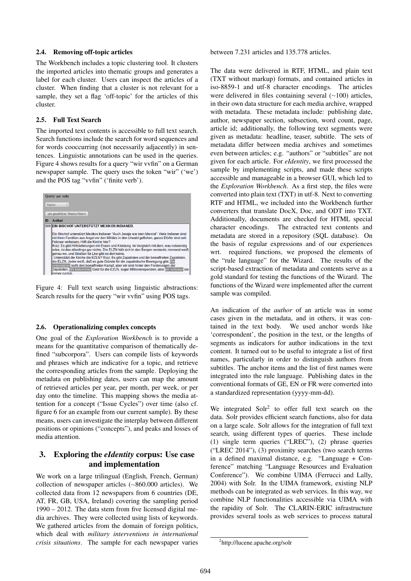#### 2.4. Removing off-topic articles

The Workbench includes a topic clustering tool. It clusters the imported articles into thematic groups and generates a label for each cluster. Users can inspect the articles of a cluster. When finding that a cluster is not relevant for a sample, they set a flag 'off-topic' for the articles of this cluster.

#### 2.5. Full Text Search

The imported text contents is accessible to full text search. Search functions include the search for word sequences and for words cooccurring (not necessarily adjacently) in sentences. Linguistic annotations can be used in the queries. Figure 4 shows results for a query "wir vvfin" on a German newspaper sample. The query uses the token "wir" ('we') and the POS tag "vvfin" ('finite verb').



Figure 4: Full text search using linguistic abstractions: Search results for the query "wir vvfin" using POS tags.

#### 2.6. Operationalizing complex concepts

One goal of the *Exploration Workbench* is to provide a means for the quantitative comparison of thematically defined "subcorpora". Users can compile lists of keywords and phrases which are indicative for a topic, and retrieve the corresponding articles from the sample. Deploying the metadata on publishing dates, users can map the amount of retrieved articles per year, per month, per week, or per day onto the timeline. This mapping shows the media attention for a concept ("Issue Cycles") over time (also cf. figure 6 for an example from our current sample). By these means, users can investigate the interplay between different positions or opinions ("concepts"), and peaks and losses of media attention.

## 3. Exploring the *eIdentity* corpus: Use case and implementation

We work on a large trilingual (English, French, German) collection of newspaper articles (∼860.000 articles). We collected data from 12 newspapers from 6 countries (DE, AT, FR, GB, USA, Ireland) covering the sampling period 1990 – 2012. The data stem from five licensed digital media archives. They were collected using lists of keywords. We gathered articles from the domain of foreign politics, which deal with *military interventions in international crisis situations*. The sample for each newspaper varies between 7.231 articles and 135.778 articles.

The data were delivered in RTF, HTML, and plain text (TXT without markup) formats, and contained articles in iso-8859-1 and utf-8 character encodings. The articles were delivered in files containing several (∼100) articles, in their own data structure for each media archive, wrapped with metadata. These metadata include: publishing date, author, newspaper section, subsection, word count, page, article id; additionally, the following text segments were given as metadata: headline, teaser, subtitle. The sets of metadata differ between media archives and sometimes even between articles; e.g. "authors" or "subtitles" are not given for each article. For *eIdentity*, we first processed the sample by implementing scripts, and made these scripts accessible and manageable in a browser GUI, which led to the *Exploration Workbench*. As a first step, the files were converted into plain text (TXT) in utf-8. Next to converting RTF and HTML, we included into the Workbench further converters that translate DocX, Doc, and ODT into TXT. Additionally, documents are checked for HTML special character encodings. The extracted text contents and metadata are stored in a repository (SQL database). On the basis of regular expressions and of our experiences wrt. required functions, we proposed the elements of the "rule language" for the Wizard. The results of the script-based extraction of metadata and contents serve as a gold standard for testing the functions of the Wizard. The functions of the Wizard were implemented after the current sample was compiled.

An indication of the *author* of an article was in some cases given in the metadata, and in others, it was contained in the text body. We used anchor words like 'correspondent', the position in the text, or the lengths of segments as indicators for author indications in the text content. It turned out to be useful to integrate a list of first names, particularly in order to distinguish authors from subtitles. The anchor items and the list of first names were integrated into the rule language. Publishing dates in the conventional formats of GE, EN or FR were converted into a standardized representation (yyyy-mm-dd).

We integrated  $Solv<sup>2</sup>$  to offer full text search on the data. Solr provides efficient search functions, also for data on a large scale. Solr allows for the integration of full text search, using different types of queries. These include (1) single term queries ("LREC"), (2) phrase queries ("LREC 2014"), (3) proximity searches (two search terms in a defined maximal distance, e.g. "Language + Conference" matching "Language Resources and Evaluation Conference"). We combine UIMA (Ferrucci and Lally, 2004) with Solr. In the UIMA framework, existing NLP methods can be integrated as web services. In this way, we combine NLP functionalities accessible via UIMA with the rapidity of Solr. The CLARIN-ERIC infrastructure provides several tools as web services to process natural

<sup>2</sup> http://lucene.apache.org/solr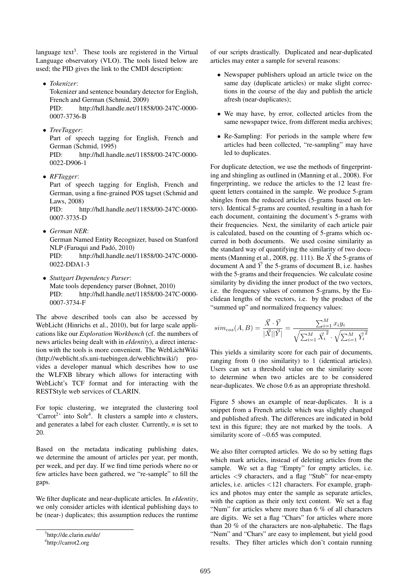language text<sup>3</sup>. These tools are registered in the Virtual Language observatory (VLO). The tools listed below are used; the PID gives the link to the CMDI description:

- *Tokenizer*: Tokenizer and sentence boundary detector for English, French and German (Schmid, 2009) PID: http://hdl.handle.net/11858/00-247C-0000- 0007-3736-B
- *TreeTagger*:

Part of speech tagging for English, French and German (Schmid, 1995)

PID: http://hdl.handle.net/11858/00-247C-0000- 0022-D906-1

• *RFTagger*:

Part of speech tagging for English, French and German, using a fine-grained POS tagset (Schmid and Laws, 2008)

PID: http://hdl.handle.net/11858/00-247C-0000- 0007-3735-D

- *German NER*: German Named Entity Recognizer, based on Stanford NLP (Faruqui and Padó, 2010) PID: http://hdl.handle.net/11858/00-247C-0000- 0022-DDA1-3
- *Stuttgart Dependency Parser*: Mate tools dependency parser (Bohnet, 2010) PID: http://hdl.handle.net/11858/00-247C-0000- 0007-3734-F

The above described tools can also be accessed by WebLicht (Hinrichs et al., 2010), but for large scale applications like our *Exploration Workbench* (cf. the numbers of news articles being dealt with in *eIdentity*), a direct interaction with the tools is more convenient. The WebLichtWiki (http://weblicht.sfs.uni-tuebingen.de/weblichtwiki/) provides a developer manual which describes how to use the WLFXB library which allows for interacting with WebLicht's TCF format and for interacting with the RESTStyle web services of CLARIN.

For topic clustering, we integrated the clustering tool 'Carrot<sup>2</sup>' into Solr<sup>4</sup>. It clusters a sample into *n* clusters, and generates a label for each cluster. Currently, *n* is set to 20.

Based on the metadata indicating publishing dates, we determine the amount of articles per year, per month, per week, and per day. If we find time periods where no or few articles have been gathered, we "re-sample" to fill the gaps.

We filter duplicate and near-duplicate articles. In *eIdentity*, we only consider articles with identical publishing days to be (near-) duplicates; this assumption reduces the runtime

of our scripts drastically. Duplicated and near-duplicated articles may enter a sample for several reasons:

- Newspaper publishers upload an article twice on the same day (duplicate articles) or make slight corrections in the course of the day and publish the article afresh (near-duplicates);
- We may have, by error, collected articles from the same newspaper twice, from different media archives;
- Re-Sampling: For periods in the sample where few articles had been collected, "re-sampling" may have led to duplicates.

For duplicate detection, we use the methods of fingerprinting and shingling as outlined in (Manning et al., 2008). For fingerprinting, we reduce the articles to the 12 least frequent letters contained in the sample. We produce 5-gram shingles from the reduced articles (5-grams based on letters). Identical 5-grams are counted, resulting in a hash for each document, containing the document's 5-grams with their frequencies. Next, the similarity of each article pair is calculated, based on the counting of 5-grams which occurred in both documents. We used cosine similarity as the standard way of quantifying the similarity of two documents (Manning et al., 2008, pg. 111). Be  $\vec{X}$  the 5-grams of document A and  $\vec{Y}$  the 5-grams of document B, i.e. hashes with the 5-grams and their frequencies. We calculate cosine similarity by dividing the inner product of the two vectors, i.e. the frequency values of common 5-grams, by the Euclidean lengths of the vectors, i.e. by the product of the "summed up" and normalized frequency values:

$$
sim_{cos}(A, B) = \frac{\vec{X} \cdot \vec{Y}}{|\vec{X}||\vec{Y}|} = \frac{\sum_{i=1}^{M} x_i y_i}{\sqrt{\sum_{i=1}^{M} \vec{X}_i^2} \cdot \sqrt{\sum_{i=1}^{M} \vec{Y}_i^2}}
$$

This yields a similarity score for each pair of documents, ranging from 0 (no similarity) to 1 (identical articles). Users can set a threshold value on the similarity score to determine when two articles are to be considered near-duplicates. We chose 0.6 as an appropriate threshold.

Figure 5 shows an example of near-duplicates. It is a snippet from a French article which was slightly changed and published afresh. The differences are indicated in bold text in this figure; they are not marked by the tools. A similarity score of <sup>∼</sup>0.65 was computed.

We also filter corrupted articles. We do so by setting flags which mark articles, instead of deleting articles from the sample. We set a flag "Empty" for empty articles, i.e. articles <9 characters, and a flag "Stub" for near-empty articles, i.e. articles <121 characters. For example, graphics and photos may enter the sample as separate articles, with the caption as their only text content. We set a flag "Num" for articles where more than 6 % of all characters are digits. We set a flag "Chars" for articles where more than 20 % of the characters are non-alphabetic. The flags "Num" and "Chars" are easy to implement, but yield good results. They filter articles which don't contain running

<sup>&</sup>lt;sup>3</sup>http://de.clarin.eu/de/

<sup>4</sup> http://carrot2.org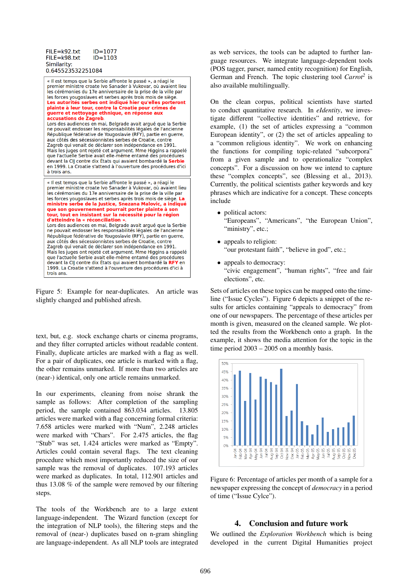

Figure 5: Example for near-duplicates. An article was slightly changed and published afresh.

text, but, e.g. stock exchange charts or cinema programs, and they filter corrupted articles without readable content. Finally, duplicate articles are marked with a flag as well. For a pair of duplicates, one article is marked with a flag, the other remains unmarked. If more than two articles are (near-) identical, only one article remains unmarked.

In our experiments, cleaning from noise shrank the sample as follows: After completion of the sampling period, the sample contained 863.034 articles. 13.805 articles were marked with a flag concerning formal criteria: 7.658 articles were marked with "Num", 2.248 articles were marked with "Chars". For 2.475 articles, the flag "Stub" was set, 1.424 articles were marked as "Empty". Articles could contain several flags. The text cleaning procedure which most importantly reduced the size of our sample was the removal of duplicates. 107.193 articles were marked as duplicates. In total, 112.901 articles and thus 13.08 % of the sample were removed by our filtering steps.

The tools of the Workbench are to a large extent language-independent. The Wizard function (except for the integration of NLP tools), the filtering steps and the removal of (near-) duplicates based on n-gram shingling are language-independent. As all NLP tools are integrated as web services, the tools can be adapted to further language resources. We integrate language-dependent tools (POS tagger, parser, named entity recognition) for English, German and French. The topic clustering tool *Carrot<sup>2</sup>* is also available multilingually.

On the clean corpus, political scientists have started to conduct quantitative research. In *eIdentity*, we investigate different "collective identities" and retrieve, for example, (1) the set of articles expressing a "common European identity", or (2) the set of articles appealing to a "common religious identity". We work on enhancing the functions for compiling topic-related "subcorpora" from a given sample and to operationalize "complex concepts". For a discussion on how we intend to capture these "complex concepts", see (Blessing et al., 2013). Currently, the political scientists gather keywords and key phrases which are indicative for a concept. These concepts include

- political actors: "Europeans", "Americans", "the European Union", "ministry", etc.;
- appeals to religion: "our protestant faith", "believe in god", etc.;
- appeals to democracy: "civic engagement", "human rights", "free and fair elections", etc.

Sets of articles on these topics can be mapped onto the timeline ("Issue Cycles"). Figure 6 depicts a snippet of the results for articles containing "appeals to democracy" from one of our newspapers. The percentage of these articles per month is given, measured on the cleaned sample. We plotted the results from the Workbench onto a graph. In the example, it shows the media attention for the topic in the time period 2003 – 2005 on a monthly basis.



Figure 6: Percentage of articles per month of a sample for a newspaper expressing the concept of *democracy* in a period of time ("Issue Cylce").

## 4. Conclusion and future work

We outlined the *Exploration Workbench* which is being developed in the current Digital Humanities project